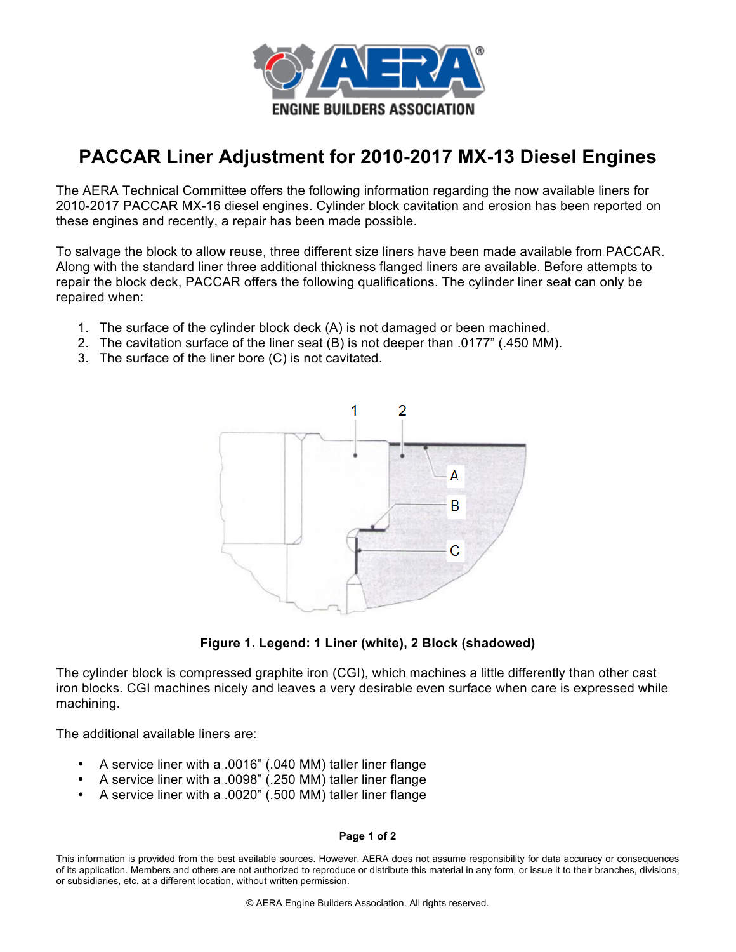

## **PACCAR Liner Adjustment for 2010-2017 MX-13 Diesel Engines**

The AERA Technical Committee offers the following information regarding the now available liners for 2010-2017 PACCAR MX-16 diesel engines. Cylinder block cavitation and erosion has been reported on these engines and recently, a repair has been made possible.

To salvage the block to allow reuse, three different size liners have been made available from PACCAR. Along with the standard liner three additional thickness flanged liners are available. Before attempts to repair the block deck, PACCAR offers the following qualifications. The cylinder liner seat can only be repaired when:

- 1. The surface of the cylinder block deck (A) is not damaged or been machined.
- 2. The cavitation surface of the liner seat (B) is not deeper than .0177" (.450 MM).
- 3. The surface of the liner bore (C) is not cavitated.



**Figure 1. Legend: 1 Liner (white), 2 Block (shadowed)**

The cylinder block is compressed graphite iron (CGI), which machines a little differently than other cast iron blocks. CGI machines nicely and leaves a very desirable even surface when care is expressed while machining.

The additional available liners are:

- A service liner with a .0016" (.040 MM) taller liner flange
- A service liner with a .0098" (.250 MM) taller liner flange
- A service liner with a .0020" (.500 MM) taller liner flange

## **Page 1 of 2**

This information is provided from the best available sources. However, AERA does not assume responsibility for data accuracy or consequences of its application. Members and others are not authorized to reproduce or distribute this material in any form, or issue it to their branches, divisions, or subsidiaries, etc. at a different location, without written permission.